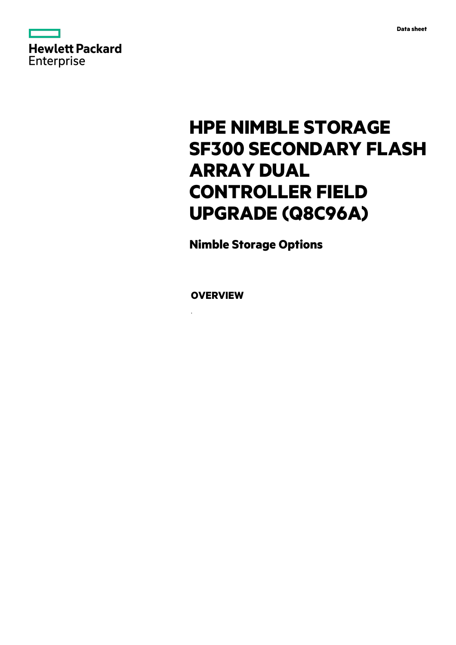



# **HPE NIMBLE STORAGE SF300 SECONDARY FLASH ARRAY DUAL CONTROLLER FIELD UPGRADE (Q8C96A)**

**Nimble Storage Options**

**OVERVIEW**

.

 $\overline{\phantom{a}}$